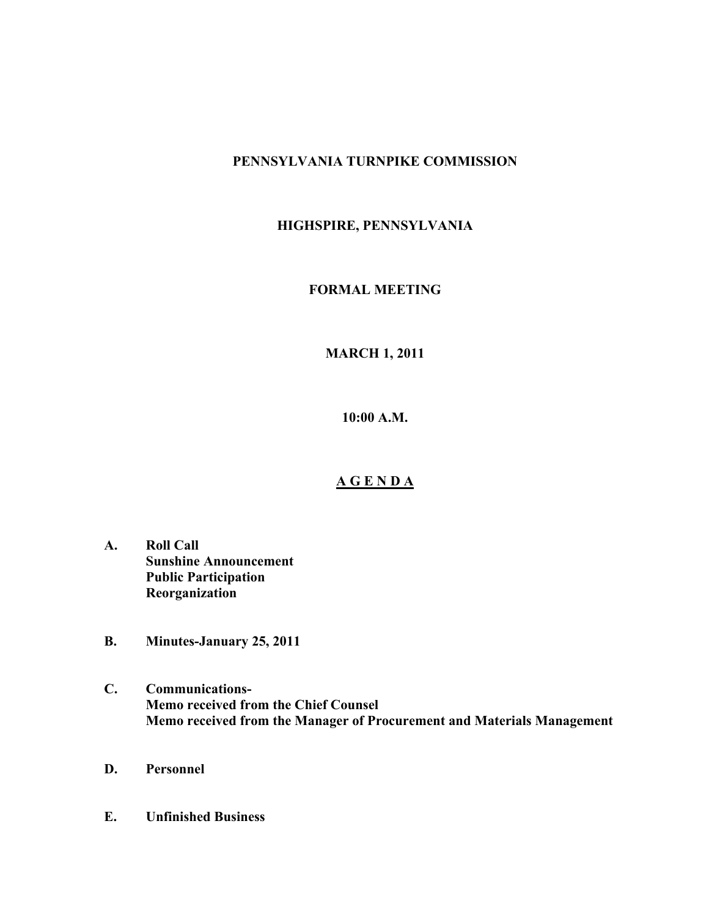# **PENNSYLVANIA TURNPIKE COMMISSION**

# **HIGHSPIRE, PENNSYLVANIA**

### **FORMAL MEETING**

# **MARCH 1, 2011**

**10:00 A.M.**

#### **A G E N D A**

- **A. Roll Call Sunshine Announcement Public Participation Reorganization**
- **B. Minutes-January 25, 2011**
- **C. Communications-Memo received from the Chief Counsel Memo received from the Manager of Procurement and Materials Management**
- **D. Personnel**
- **E. Unfinished Business**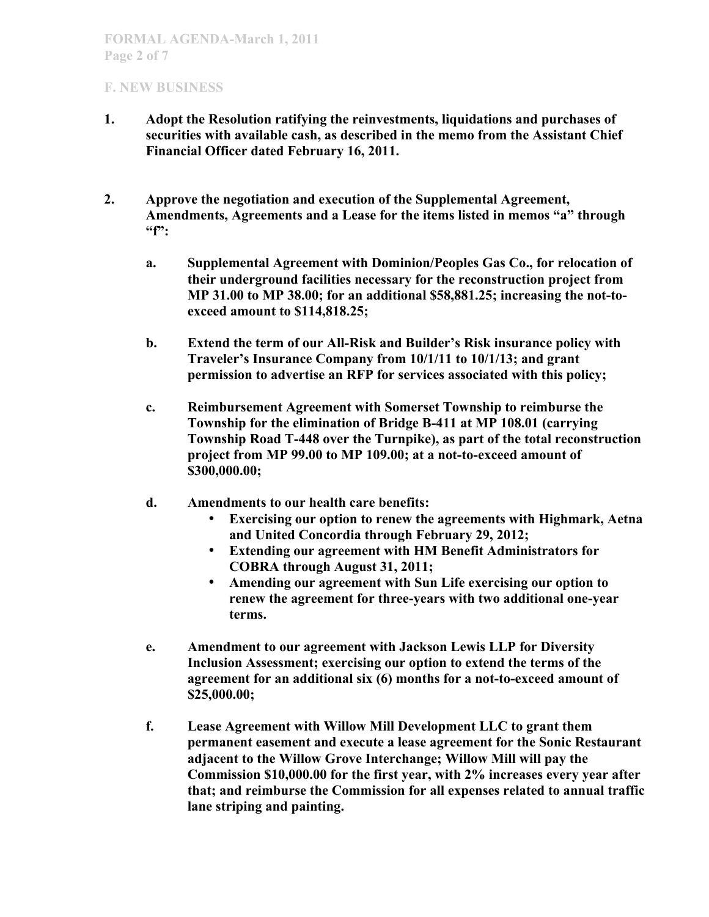- **1. Adopt the Resolution ratifying the reinvestments, liquidations and purchases of securities with available cash, as described in the memo from the Assistant Chief Financial Officer dated February 16, 2011.**
- **2. Approve the negotiation and execution of the Supplemental Agreement, Amendments, Agreements and a Lease for the items listed in memos "a" through "f":**
	- **a. Supplemental Agreement with Dominion/Peoples Gas Co., for relocation of their underground facilities necessary for the reconstruction project from MP 31.00 to MP 38.00; for an additional \$58,881.25; increasing the not-toexceed amount to \$114,818.25;**
	- **b. Extend the term of our All-Risk and Builder's Risk insurance policy with Traveler's Insurance Company from 10/1/11 to 10/1/13; and grant permission to advertise an RFP for services associated with this policy;**
	- **c. Reimbursement Agreement with Somerset Township to reimburse the Township for the elimination of Bridge B-411 at MP 108.01 (carrying Township Road T-448 over the Turnpike), as part of the total reconstruction project from MP 99.00 to MP 109.00; at a not-to-exceed amount of \$300,000.00;**
	- **d. Amendments to our health care benefits:**
		- **Exercising our option to renew the agreements with Highmark, Aetna and United Concordia through February 29, 2012;**
		- **Extending our agreement with HM Benefit Administrators for COBRA through August 31, 2011;**
		- **Amending our agreement with Sun Life exercising our option to renew the agreement for three-years with two additional one-year terms.**
	- **e. Amendment to our agreement with Jackson Lewis LLP for Diversity Inclusion Assessment; exercising our option to extend the terms of the agreement for an additional six (6) months for a not-to-exceed amount of \$25,000.00;**
	- **f. Lease Agreement with Willow Mill Development LLC to grant them permanent easement and execute a lease agreement for the Sonic Restaurant adjacent to the Willow Grove Interchange; Willow Mill will pay the Commission \$10,000.00 for the first year, with 2% increases every year after that; and reimburse the Commission for all expenses related to annual traffic lane striping and painting.**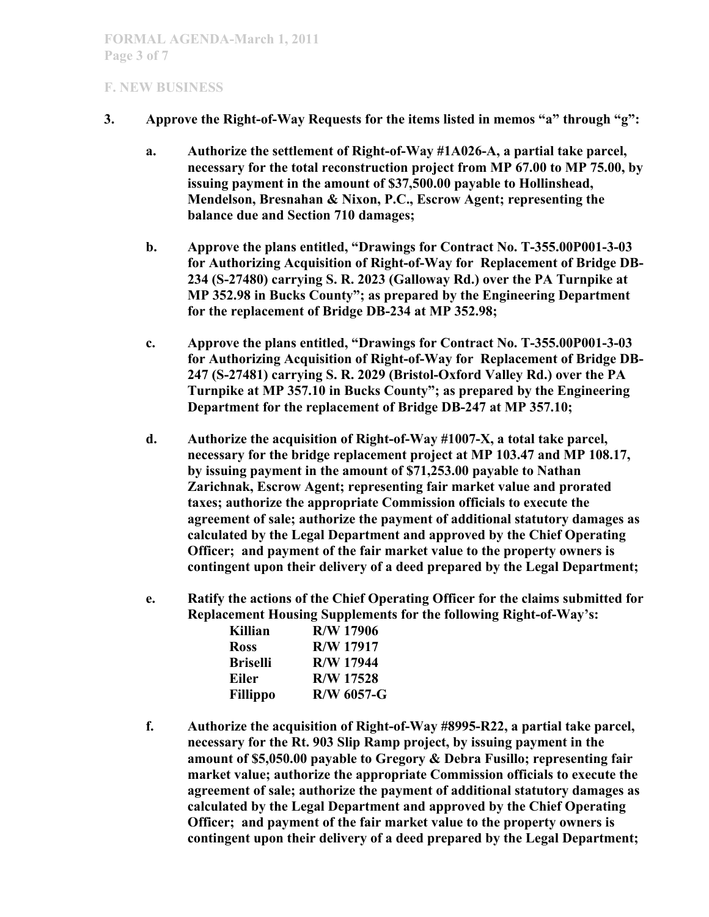- **3. Approve the Right-of-Way Requests for the items listed in memos "a" through "g":**
	- **a. Authorize the settlement of Right-of-Way #1A026-A, a partial take parcel, necessary for the total reconstruction project from MP 67.00 to MP 75.00, by issuing payment in the amount of \$37,500.00 payable to Hollinshead, Mendelson, Bresnahan & Nixon, P.C., Escrow Agent; representing the balance due and Section 710 damages;**
	- **b. Approve the plans entitled, "Drawings for Contract No. T-355.00P001-3-03 for Authorizing Acquisition of Right-of-Way for Replacement of Bridge DB-234 (S-27480) carrying S. R. 2023 (Galloway Rd.) over the PA Turnpike at MP 352.98 in Bucks County"; as prepared by the Engineering Department for the replacement of Bridge DB-234 at MP 352.98;**
	- **c. Approve the plans entitled, "Drawings for Contract No. T-355.00P001-3-03 for Authorizing Acquisition of Right-of-Way for Replacement of Bridge DB-247 (S-27481) carrying S. R. 2029 (Bristol-Oxford Valley Rd.) over the PA Turnpike at MP 357.10 in Bucks County"; as prepared by the Engineering Department for the replacement of Bridge DB-247 at MP 357.10;**
	- **d. Authorize the acquisition of Right-of-Way #1007-X, a total take parcel, necessary for the bridge replacement project at MP 103.47 and MP 108.17, by issuing payment in the amount of \$71,253.00 payable to Nathan Zarichnak, Escrow Agent; representing fair market value and prorated taxes; authorize the appropriate Commission officials to execute the agreement of sale; authorize the payment of additional statutory damages as calculated by the Legal Department and approved by the Chief Operating Officer; and payment of the fair market value to the property owners is contingent upon their delivery of a deed prepared by the Legal Department;**
	- **e. Ratify the actions of the Chief Operating Officer for the claims submitted for Replacement Housing Supplements for the following Right-of-Way's:**

| Killian         | R/W 17906        |
|-----------------|------------------|
| <b>Ross</b>     | <b>R/W 17917</b> |
| <b>Briselli</b> | <b>R/W 17944</b> |
| Eiler           | <b>R/W 17528</b> |
| <b>Fillippo</b> | R/W 6057-G       |

**f. Authorize the acquisition of Right-of-Way #8995-R22, a partial take parcel, necessary for the Rt. 903 Slip Ramp project, by issuing payment in the amount of \$5,050.00 payable to Gregory & Debra Fusillo; representing fair market value; authorize the appropriate Commission officials to execute the agreement of sale; authorize the payment of additional statutory damages as calculated by the Legal Department and approved by the Chief Operating Officer; and payment of the fair market value to the property owners is contingent upon their delivery of a deed prepared by the Legal Department;**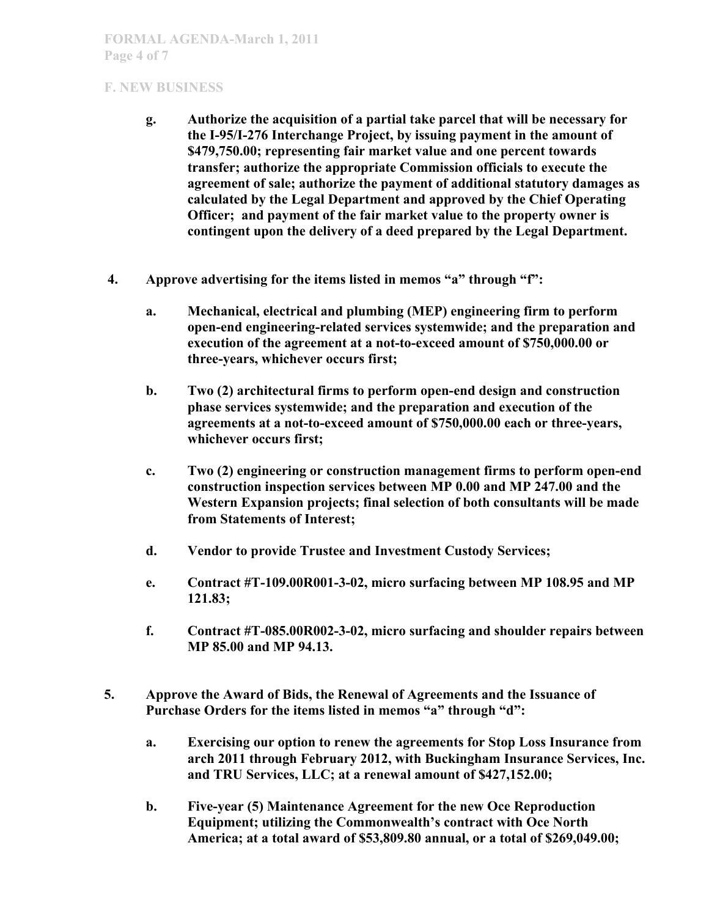- **g. Authorize the acquisition of a partial take parcel that will be necessary for the I-95/I-276 Interchange Project, by issuing payment in the amount of \$479,750.00; representing fair market value and one percent towards transfer; authorize the appropriate Commission officials to execute the agreement of sale; authorize the payment of additional statutory damages as calculated by the Legal Department and approved by the Chief Operating Officer; and payment of the fair market value to the property owner is contingent upon the delivery of a deed prepared by the Legal Department.**
- **4. Approve advertising for the items listed in memos "a" through "f":**
	- **a. Mechanical, electrical and plumbing (MEP) engineering firm to perform open-end engineering-related services systemwide; and the preparation and execution of the agreement at a not-to-exceed amount of \$750,000.00 or three-years, whichever occurs first;**
	- **b. Two (2) architectural firms to perform open-end design and construction phase services systemwide; and the preparation and execution of the agreements at a not-to-exceed amount of \$750,000.00 each or three-years, whichever occurs first;**
	- **c. Two (2) engineering or construction management firms to perform open-end construction inspection services between MP 0.00 and MP 247.00 and the Western Expansion projects; final selection of both consultants will be made from Statements of Interest;**
	- **d. Vendor to provide Trustee and Investment Custody Services;**
	- **e. Contract #T-109.00R001-3-02, micro surfacing between MP 108.95 and MP 121.83;**
	- **f. Contract #T-085.00R002-3-02, micro surfacing and shoulder repairs between MP 85.00 and MP 94.13.**
- **5. Approve the Award of Bids, the Renewal of Agreements and the Issuance of Purchase Orders for the items listed in memos "a" through "d":**
	- **a. Exercising our option to renew the agreements for Stop Loss Insurance from arch 2011 through February 2012, with Buckingham Insurance Services, Inc. and TRU Services, LLC; at a renewal amount of \$427,152.00;**
	- **b. Five-year (5) Maintenance Agreement for the new Oce Reproduction Equipment; utilizing the Commonwealth's contract with Oce North America; at a total award of \$53,809.80 annual, or a total of \$269,049.00;**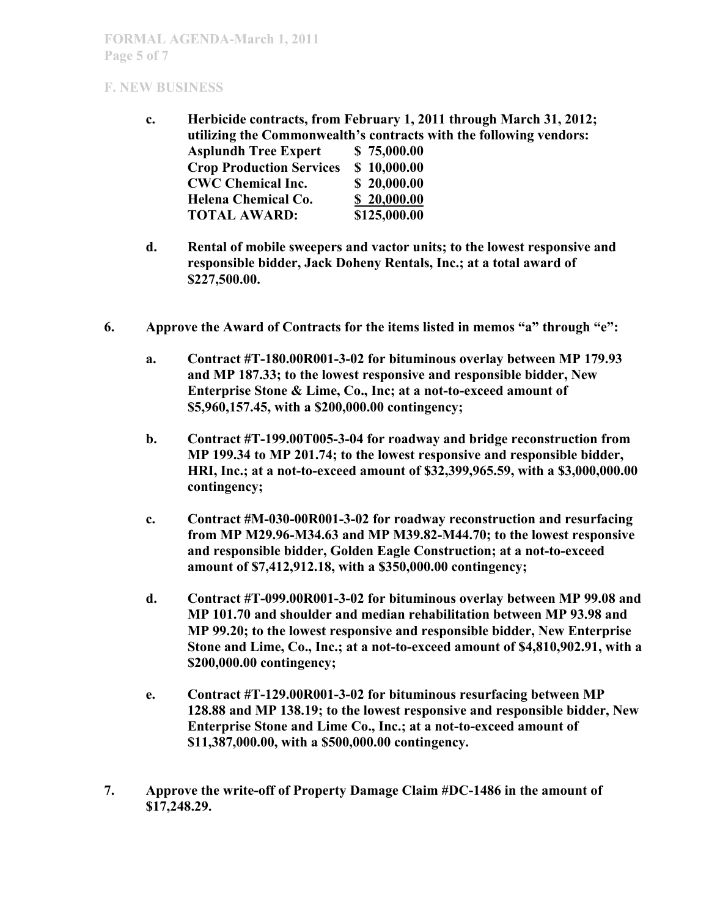- **c. Herbicide contracts, from February 1, 2011 through March 31, 2012; utilizing the Commonwealth's contracts with the following vendors: Asplundh Tree Expert \$ 75,000.00 Crop Production Services \$ 10,000.00 CWC Chemical Inc. \$ 20,000.00 Helena Chemical Co. \$ 20,000.00 TOTAL AWARD: \$125,000.00**
- **d. Rental of mobile sweepers and vactor units; to the lowest responsive and responsible bidder, Jack Doheny Rentals, Inc.; at a total award of \$227,500.00.**
- **6. Approve the Award of Contracts for the items listed in memos "a" through "e":**
	- **a. Contract #T-180.00R001-3-02 for bituminous overlay between MP 179.93 and MP 187.33; to the lowest responsive and responsible bidder, New Enterprise Stone & Lime, Co., Inc; at a not-to-exceed amount of \$5,960,157.45, with a \$200,000.00 contingency;**
	- **b. Contract #T-199.00T005-3-04 for roadway and bridge reconstruction from MP 199.34 to MP 201.74; to the lowest responsive and responsible bidder, HRI, Inc.; at a not-to-exceed amount of \$32,399,965.59, with a \$3,000,000.00 contingency;**
	- **c. Contract #M-030-00R001-3-02 for roadway reconstruction and resurfacing from MP M29.96-M34.63 and MP M39.82-M44.70; to the lowest responsive and responsible bidder, Golden Eagle Construction; at a not-to-exceed amount of \$7,412,912.18, with a \$350,000.00 contingency;**
	- **d. Contract #T-099.00R001-3-02 for bituminous overlay between MP 99.08 and MP 101.70 and shoulder and median rehabilitation between MP 93.98 and MP 99.20; to the lowest responsive and responsible bidder, New Enterprise Stone and Lime, Co., Inc.; at a not-to-exceed amount of \$4,810,902.91, with a \$200,000.00 contingency;**
	- **e. Contract #T-129.00R001-3-02 for bituminous resurfacing between MP 128.88 and MP 138.19; to the lowest responsive and responsible bidder, New Enterprise Stone and Lime Co., Inc.; at a not-to-exceed amount of \$11,387,000.00, with a \$500,000.00 contingency.**
- **7. Approve the write-off of Property Damage Claim #DC-1486 in the amount of \$17,248.29.**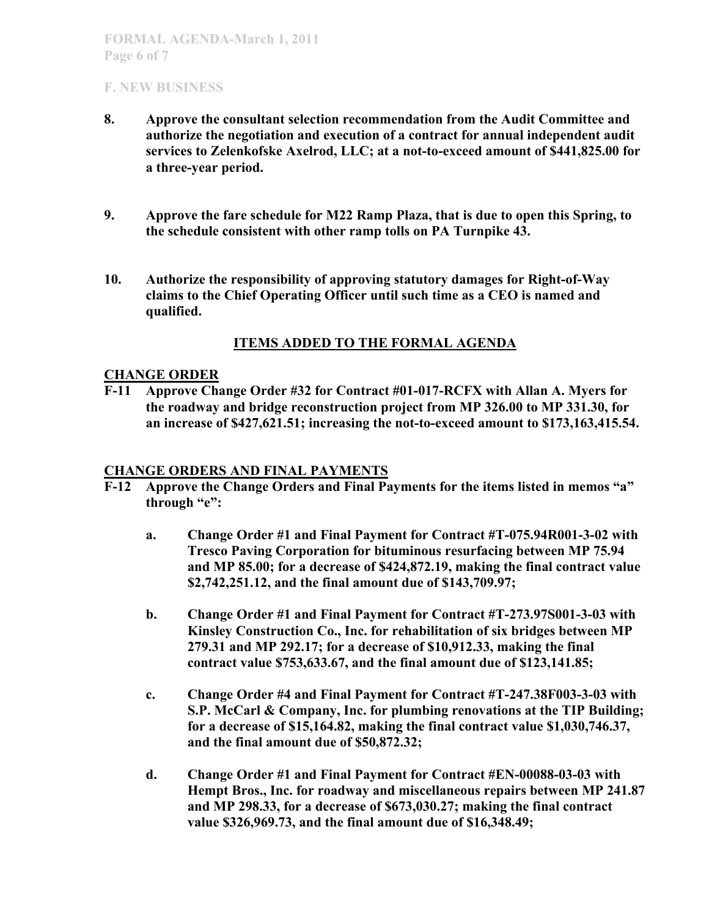- **8. Approve the consultant selection recommendation from the Audit Committee and authorize the negotiation and execution of a contract for annual independent audit services to Zelenkofske Axelrod, LLC; at a not-to-exceed amount of \$441,825.00 for a three-year period.**
- **9. Approve the fare schedule for M22 Ramp Plaza, that is due to open this Spring, to the schedule consistent with other ramp tolls on PA Turnpike 43.**
- **10. Authorize the responsibility of approving statutory damages for Right-of-Way claims to the Chief Operating Officer until such time as a CEO is named and qualified.**

## **ITEMS ADDED TO THE FORMAL AGENDA**

#### **CHANGE ORDER**

**F-11 Approve Change Order #32 for Contract #01-017-RCFX with Allan A. Myers for the roadway and bridge reconstruction project from MP 326.00 to MP 331.30, for an increase of \$427,621.51; increasing the not-to-exceed amount to \$173,163,415.54.**

#### **CHANGE ORDERS AND FINAL PAYMENTS**

- **F-12 Approve the Change Orders and Final Payments for the items listed in memos "a" through "e":**
	- **a. Change Order #1 and Final Payment for Contract #T-075.94R001-3-02 with Tresco Paving Corporation for bituminous resurfacing between MP 75.94 and MP 85.00; for a decrease of \$424,872.19, making the final contract value \$2,742,251.12, and the final amount due of \$143,709.97;**
	- **b. Change Order #1 and Final Payment for Contract #T-273.97S001-3-03 with Kinsley Construction Co., Inc. for rehabilitation of six bridges between MP 279.31 and MP 292.17; for a decrease of \$10,912.33, making the final contract value \$753,633.67, and the final amount due of \$123,141.85;**
	- **c. Change Order #4 and Final Payment for Contract #T-247.38F003-3-03 with S.P. McCarl & Company, Inc. for plumbing renovations at the TIP Building; for a decrease of \$15,164.82, making the final contract value \$1,030,746.37, and the final amount due of \$50,872.32;**
	- **d. Change Order #1 and Final Payment for Contract #EN-00088-03-03 with Hempt Bros., Inc. for roadway and miscellaneous repairs between MP 241.87 and MP 298.33, for a decrease of \$673,030.27; making the final contract value \$326,969.73, and the final amount due of \$16,348.49;**